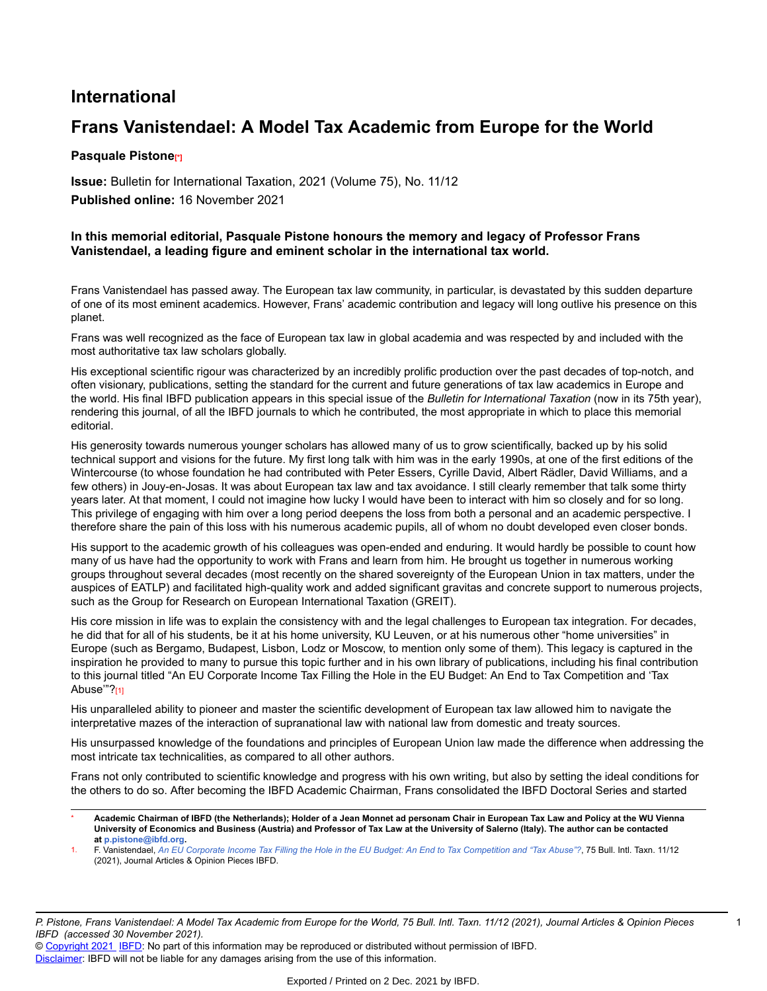## **International**

## **Frans Vanistendael: A Model Tax Academic from Europe for the World**

## **Pasquale Pistone[\*]**

**Issue:** Bulletin for International Taxation, 2021 (Volume 75), No. 11/12 **Published online:** 16 November 2021

## **In this memorial editorial, Pasquale Pistone honours the memory and legacy of Professor Frans Vanistendael, a leading figure and eminent scholar in the international tax world.**

Frans Vanistendael has passed away. The European tax law community, in particular, is devastated by this sudden departure of one of its most eminent academics. However, Frans' academic contribution and legacy will long outlive his presence on this planet.

Frans was well recognized as the face of European tax law in global academia and was respected by and included with the most authoritative tax law scholars globally.

His exceptional scientific rigour was characterized by an incredibly prolific production over the past decades of top-notch, and often visionary, publications, setting the standard for the current and future generations of tax law academics in Europe and the world. His final IBFD publication appears in this special issue of the *Bulletin for International Taxation* (now in its 75th year), rendering this journal, of all the IBFD journals to which he contributed, the most appropriate in which to place this memorial editorial.

His generosity towards numerous younger scholars has allowed many of us to grow scientifically, backed up by his solid technical support and visions for the future. My first long talk with him was in the early 1990s, at one of the first editions of the Wintercourse (to whose foundation he had contributed with Peter Essers, Cyrille David, Albert Rädler, David Williams, and a few others) in Jouy-en-Josas. It was about European tax law and tax avoidance. I still clearly remember that talk some thirty years later. At that moment, I could not imagine how lucky I would have been to interact with him so closely and for so long. This privilege of engaging with him over a long period deepens the loss from both a personal and an academic perspective. I therefore share the pain of this loss with his numerous academic pupils, all of whom no doubt developed even closer bonds.

His support to the academic growth of his colleagues was open-ended and enduring. It would hardly be possible to count how many of us have had the opportunity to work with Frans and learn from him. He brought us together in numerous working groups throughout several decades (most recently on the shared sovereignty of the European Union in tax matters, under the auspices of EATLP) and facilitated high-quality work and added significant gravitas and concrete support to numerous projects, such as the Group for Research on European International Taxation (GREIT).

His core mission in life was to explain the consistency with and the legal challenges to European tax integration. For decades, he did that for all of his students, be it at his home university, KU Leuven, or at his numerous other "home universities" in Europe (such as Bergamo, Budapest, Lisbon, Lodz or Moscow, to mention only some of them). This legacy is captured in the inspiration he provided to many to pursue this topic further and in his own library of publications, including his final contribution to this journal titled "An EU Corporate Income Tax Filling the Hole in the EU Budget: An End to Tax Competition and 'Tax Abuse"?[1]

His unparalleled ability to pioneer and master the scientific development of European tax law allowed him to navigate the interpretative mazes of the interaction of supranational law with national law from domestic and treaty sources.

His unsurpassed knowledge of the foundations and principles of European Union law made the difference when addressing the most intricate tax technicalities, as compared to all other authors.

Frans not only contributed to scientific knowledge and progress with his own writing, but also by setting the ideal conditions for the others to do so. After becoming the IBFD Academic Chairman, Frans consolidated the IBFD Doctoral Series and started

© Copyright 2021 IBFD: No part of this information may be reproduced or distributed without permission of IBFD. Disclaimer: IBFD will not be liable for any damages arising from the use of this information.

Academic Chairman of IBFD (the Netherlands); Holder of a Jean Monnet ad personam Chair in European Tax Law and Policy at the WU Vienna University of Economics and Business (Austria) and Professor of Tax Law at the University of Salerno (Italy). The author can be contacted **at p.pistone@ibfd.org.**

F. Vanistendael, An EU Corporate Income Tax Filling the Hole in the EU Budget: An End to Tax Competition and "Tax Abuse"?, 75 Bull. Intl. Taxn. 11/12 (2021), Journal Articles & Opinion Pieces IBFD.